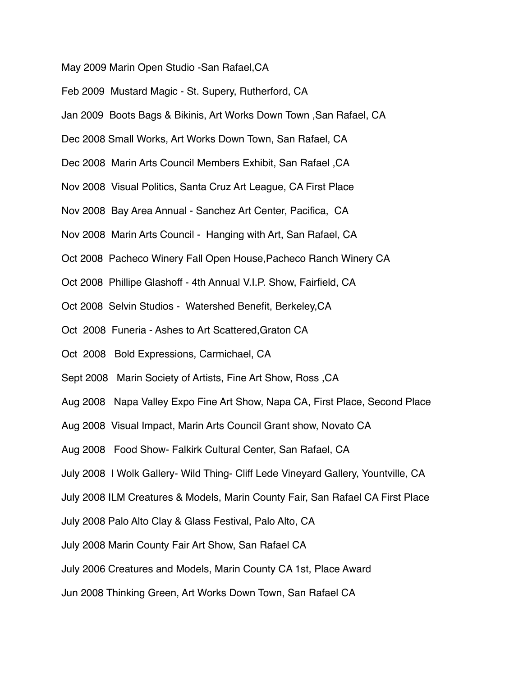May 2009 Marin Open Studio -San Rafael,CA

Feb 2009 Mustard Magic - St. Supery, Rutherford, CA

Jan 2009 Boots Bags & Bikinis, Art Works Down Town ,San Rafael, CA

Dec 2008 Small Works, Art Works Down Town, San Rafael, CA

Dec 2008 Marin Arts Council Members Exhibit, San Rafael ,CA

Nov 2008 Visual Politics, Santa Cruz Art League, CA First Place

Nov 2008 Bay Area Annual - Sanchez Art Center, Pacifica, CA

Nov 2008 Marin Arts Council - Hanging with Art, San Rafael, CA

Oct 2008 Pacheco Winery Fall Open House,Pacheco Ranch Winery CA

Oct 2008 Phillipe Glashoff - 4th Annual V.I.P. Show, Fairfield, CA

Oct 2008 Selvin Studios - Watershed Benefit, Berkeley,CA

Oct 2008 Funeria - Ashes to Art Scattered,Graton CA

Oct 2008 Bold Expressions, Carmichael, CA

Sept 2008 Marin Society of Artists, Fine Art Show, Ross ,CA

Aug 2008 Napa Valley Expo Fine Art Show, Napa CA, First Place, Second Place

Aug 2008 Visual Impact, Marin Arts Council Grant show, Novato CA

Aug 2008 Food Show- Falkirk Cultural Center, San Rafael, CA

July 2008 I Wolk Gallery- Wild Thing- Cliff Lede Vineyard Gallery, Yountville, CA

July 2008 ILM Creatures & Models, Marin County Fair, San Rafael CA First Place

July 2008 Palo Alto Clay & Glass Festival, Palo Alto, CA

July 2008 Marin County Fair Art Show, San Rafael CA

July 2006 Creatures and Models, Marin County CA 1st, Place Award

Jun 2008 Thinking Green, Art Works Down Town, San Rafael CA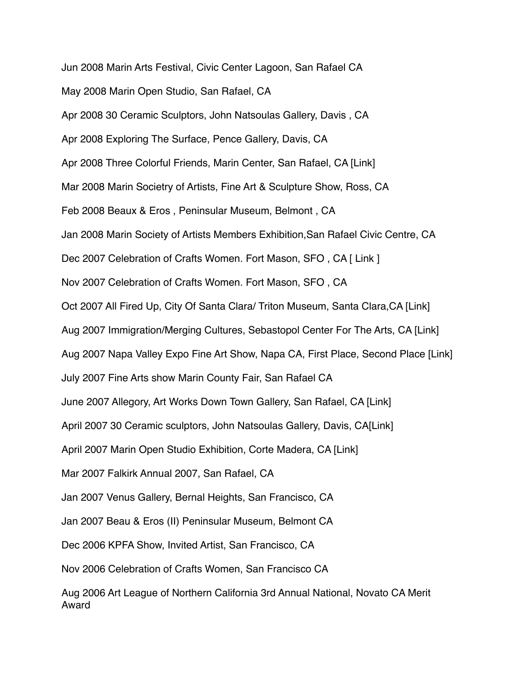Jun 2008 Marin Arts Festival, Civic Center Lagoon, San Rafael CA May 2008 Marin Open Studio, San Rafael, CA Apr 2008 30 Ceramic Sculptors, John Natsoulas Gallery, Davis , CA Apr 2008 Exploring The Surface, Pence Gallery, Davis, CA Apr 2008 Three Colorful Friends, Marin Center, San Rafael, CA [Link] Mar 2008 Marin Societry of Artists, Fine Art & Sculpture Show, Ross, CA Feb 2008 Beaux & Eros , Peninsular Museum, Belmont , CA Jan 2008 Marin Society of Artists Members Exhibition,San Rafael Civic Centre, CA Dec 2007 Celebration of Crafts Women. Fort Mason, SFO, CA [ Link ] Nov 2007 Celebration of Crafts Women. Fort Mason, SFO , CA Oct 2007 All Fired Up, City Of Santa Clara/ Triton Museum, Santa Clara,CA [Link] Aug 2007 Immigration/Merging Cultures, Sebastopol Center For The Arts, CA [Link] Aug 2007 Napa Valley Expo Fine Art Show, Napa CA, First Place, Second Place [Link] July 2007 Fine Arts show Marin County Fair, San Rafael CA June 2007 Allegory, Art Works Down Town Gallery, San Rafael, CA [Link] April 2007 30 Ceramic sculptors, John Natsoulas Gallery, Davis, CA[Link] April 2007 Marin Open Studio Exhibition, Corte Madera, CA [Link] Mar 2007 Falkirk Annual 2007, San Rafael, CA Jan 2007 Venus Gallery, Bernal Heights, San Francisco, CA Jan 2007 Beau & Eros (II) Peninsular Museum, Belmont CA Dec 2006 KPFA Show, Invited Artist, San Francisco, CA Nov 2006 Celebration of Crafts Women, San Francisco CA Aug 2006 Art League of Northern California 3rd Annual National, Novato CA Merit Award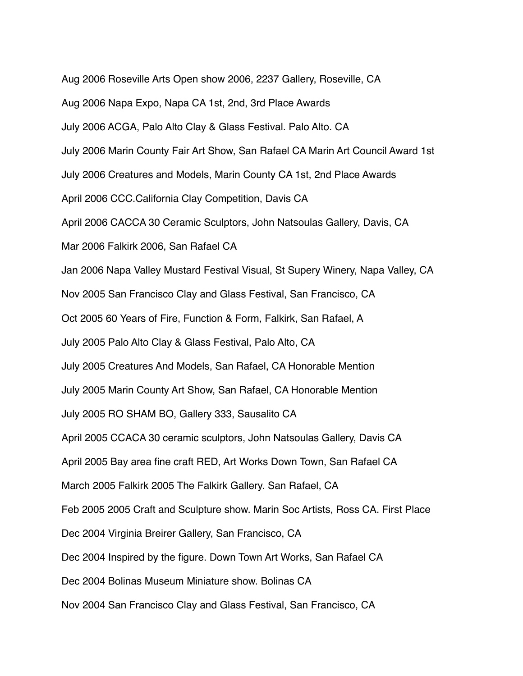Aug 2006 Roseville Arts Open show 2006, 2237 Gallery, Roseville, CA Aug 2006 Napa Expo, Napa CA 1st, 2nd, 3rd Place Awards July 2006 ACGA, Palo Alto Clay & Glass Festival. Palo Alto. CA July 2006 Marin County Fair Art Show, San Rafael CA Marin Art Council Award 1st July 2006 Creatures and Models, Marin County CA 1st, 2nd Place Awards April 2006 CCC.California Clay Competition, Davis CA April 2006 CACCA 30 Ceramic Sculptors, John Natsoulas Gallery, Davis, CA Mar 2006 Falkirk 2006, San Rafael CA Jan 2006 Napa Valley Mustard Festival Visual, St Supery Winery, Napa Valley, CA Nov 2005 San Francisco Clay and Glass Festival, San Francisco, CA Oct 2005 60 Years of Fire, Function & Form, Falkirk, San Rafael, A July 2005 Palo Alto Clay & Glass Festival, Palo Alto, CA July 2005 Creatures And Models, San Rafael, CA Honorable Mention July 2005 Marin County Art Show, San Rafael, CA Honorable Mention July 2005 RO SHAM BO, Gallery 333, Sausalito CA April 2005 CCACA 30 ceramic sculptors, John Natsoulas Gallery, Davis CA April 2005 Bay area fine craft RED, Art Works Down Town, San Rafael CA March 2005 Falkirk 2005 The Falkirk Gallery. San Rafael, CA Feb 2005 2005 Craft and Sculpture show. Marin Soc Artists, Ross CA. First Place Dec 2004 Virginia Breirer Gallery, San Francisco, CA Dec 2004 Inspired by the figure. Down Town Art Works, San Rafael CA Dec 2004 Bolinas Museum Miniature show. Bolinas CA Nov 2004 San Francisco Clay and Glass Festival, San Francisco, CA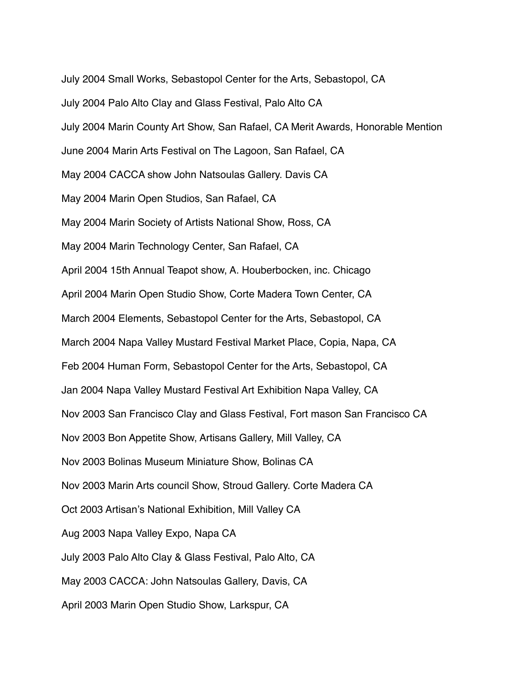July 2004 Small Works, Sebastopol Center for the Arts, Sebastopol, CA July 2004 Palo Alto Clay and Glass Festival, Palo Alto CA July 2004 Marin County Art Show, San Rafael, CA Merit Awards, Honorable Mention June 2004 Marin Arts Festival on The Lagoon, San Rafael, CA May 2004 CACCA show John Natsoulas Gallery. Davis CA May 2004 Marin Open Studios, San Rafael, CA May 2004 Marin Society of Artists National Show, Ross, CA May 2004 Marin Technology Center, San Rafael, CA April 2004 15th Annual Teapot show, A. Houberbocken, inc. Chicago April 2004 Marin Open Studio Show, Corte Madera Town Center, CA March 2004 Elements, Sebastopol Center for the Arts, Sebastopol, CA March 2004 Napa Valley Mustard Festival Market Place, Copia, Napa, CA Feb 2004 Human Form, Sebastopol Center for the Arts, Sebastopol, CA Jan 2004 Napa Valley Mustard Festival Art Exhibition Napa Valley, CA Nov 2003 San Francisco Clay and Glass Festival, Fort mason San Francisco CA Nov 2003 Bon Appetite Show, Artisans Gallery, Mill Valley, CA Nov 2003 Bolinas Museum Miniature Show, Bolinas CA Nov 2003 Marin Arts council Show, Stroud Gallery. Corte Madera CA Oct 2003 Artisan's National Exhibition, Mill Valley CA Aug 2003 Napa Valley Expo, Napa CA July 2003 Palo Alto Clay & Glass Festival, Palo Alto, CA May 2003 CACCA: John Natsoulas Gallery, Davis, CA April 2003 Marin Open Studio Show, Larkspur, CA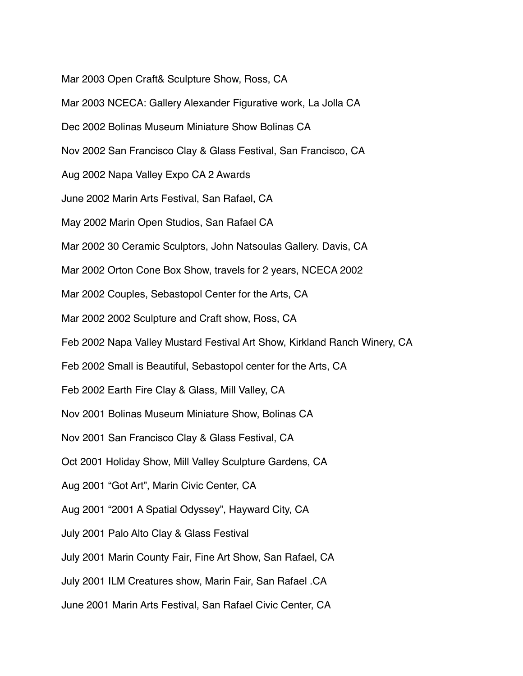Mar 2003 Open Craft& Sculpture Show, Ross, CA

Mar 2003 NCECA: Gallery Alexander Figurative work, La Jolla CA

Dec 2002 Bolinas Museum Miniature Show Bolinas CA

Nov 2002 San Francisco Clay & Glass Festival, San Francisco, CA

Aug 2002 Napa Valley Expo CA 2 Awards

June 2002 Marin Arts Festival, San Rafael, CA

May 2002 Marin Open Studios, San Rafael CA

Mar 2002 30 Ceramic Sculptors, John Natsoulas Gallery. Davis, CA

Mar 2002 Orton Cone Box Show, travels for 2 years, NCECA 2002

Mar 2002 Couples, Sebastopol Center for the Arts, CA

Mar 2002 2002 Sculpture and Craft show, Ross, CA

Feb 2002 Napa Valley Mustard Festival Art Show, Kirkland Ranch Winery, CA

Feb 2002 Small is Beautiful, Sebastopol center for the Arts, CA

Feb 2002 Earth Fire Clay & Glass, Mill Valley, CA

Nov 2001 Bolinas Museum Miniature Show, Bolinas CA

Nov 2001 San Francisco Clay & Glass Festival, CA

Oct 2001 Holiday Show, Mill Valley Sculpture Gardens, CA

Aug 2001 "Got Art", Marin Civic Center, CA

Aug 2001 "2001 A Spatial Odyssey", Hayward City, CA

July 2001 Palo Alto Clay & Glass Festival

July 2001 Marin County Fair, Fine Art Show, San Rafael, CA

July 2001 ILM Creatures show, Marin Fair, San Rafael .CA

June 2001 Marin Arts Festival, San Rafael Civic Center, CA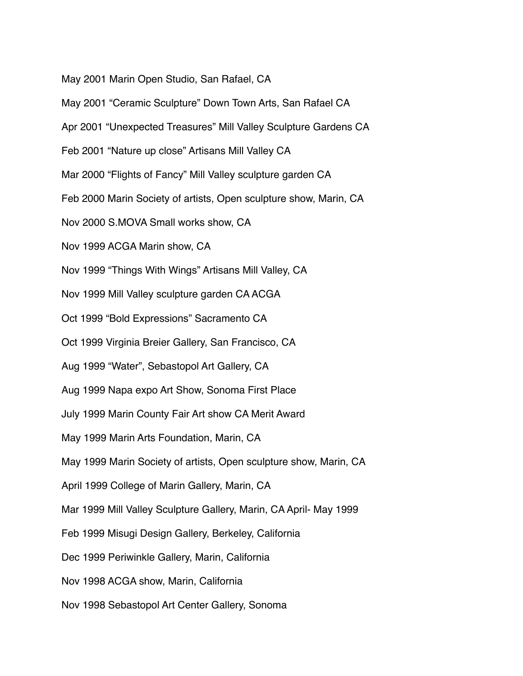May 2001 Marin Open Studio, San Rafael, CA

May 2001 "Ceramic Sculpture" Down Town Arts, San Rafael CA Apr 2001 "Unexpected Treasures" Mill Valley Sculpture Gardens CA Feb 2001 "Nature up close" Artisans Mill Valley CA Mar 2000 "Flights of Fancy" Mill Valley sculpture garden CA Feb 2000 Marin Society of artists, Open sculpture show, Marin, CA Nov 2000 S.MOVA Small works show, CA Nov 1999 ACGA Marin show, CA Nov 1999 "Things With Wings" Artisans Mill Valley, CA Nov 1999 Mill Valley sculpture garden CA ACGA Oct 1999 "Bold Expressions" Sacramento CA Oct 1999 Virginia Breier Gallery, San Francisco, CA Aug 1999 "Water", Sebastopol Art Gallery, CA Aug 1999 Napa expo Art Show, Sonoma First Place July 1999 Marin County Fair Art show CA Merit Award May 1999 Marin Arts Foundation, Marin, CA May 1999 Marin Society of artists, Open sculpture show, Marin, CA April 1999 College of Marin Gallery, Marin, CA Mar 1999 Mill Valley Sculpture Gallery, Marin, CA April- May 1999 Feb 1999 Misugi Design Gallery, Berkeley, California Dec 1999 Periwinkle Gallery, Marin, California Nov 1998 ACGA show, Marin, California Nov 1998 Sebastopol Art Center Gallery, Sonoma